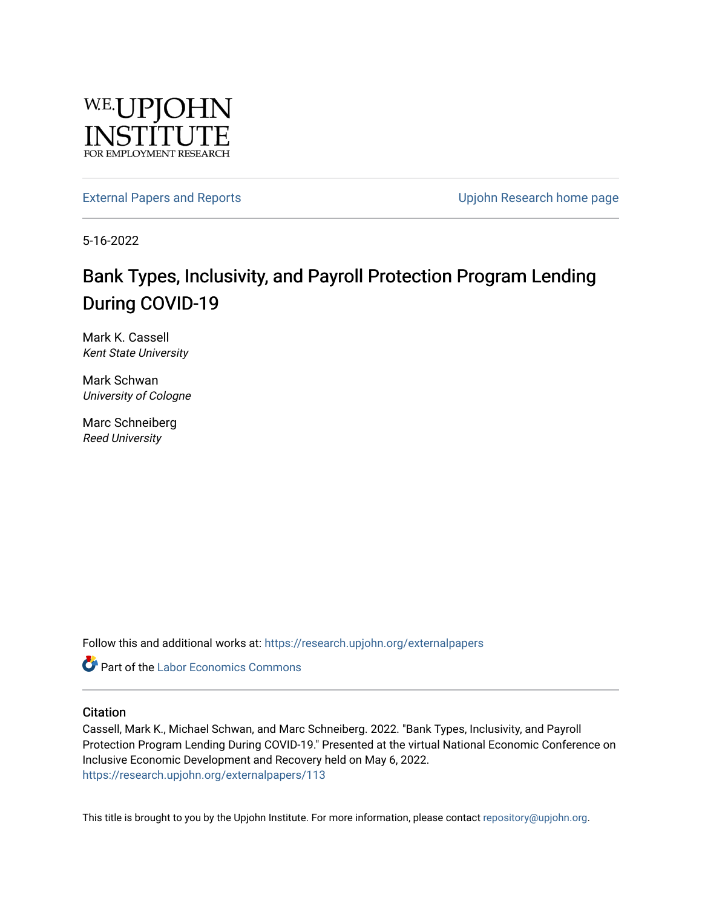

[External Papers and Reports](https://research.upjohn.org/externalpapers) **External Papers and Reports** Contract Contract Contract Contract Upjohn Research home page

5-16-2022

### Bank Types, Inclusivity, and Payroll Protection Program Lending During COVID-19

Mark K. Cassell Kent State University

Mark Schwan University of Cologne

Marc Schneiberg Reed University

Follow this and additional works at: [https://research.upjohn.org/externalpapers](https://research.upjohn.org/externalpapers?utm_source=research.upjohn.org%2Fexternalpapers%2F113&utm_medium=PDF&utm_campaign=PDFCoverPages)

Part of the [Labor Economics Commons](https://network.bepress.com/hgg/discipline/349?utm_source=research.upjohn.org%2Fexternalpapers%2F113&utm_medium=PDF&utm_campaign=PDFCoverPages)

#### **Citation**

Cassell, Mark K., Michael Schwan, and Marc Schneiberg. 2022. "Bank Types, Inclusivity, and Payroll Protection Program Lending During COVID-19." Presented at the virtual National Economic Conference on Inclusive Economic Development and Recovery held on May 6, 2022. <https://research.upjohn.org/externalpapers/113>

This title is brought to you by the Upjohn Institute. For more information, please contact [repository@upjohn.org](mailto:repository@upjohn.org).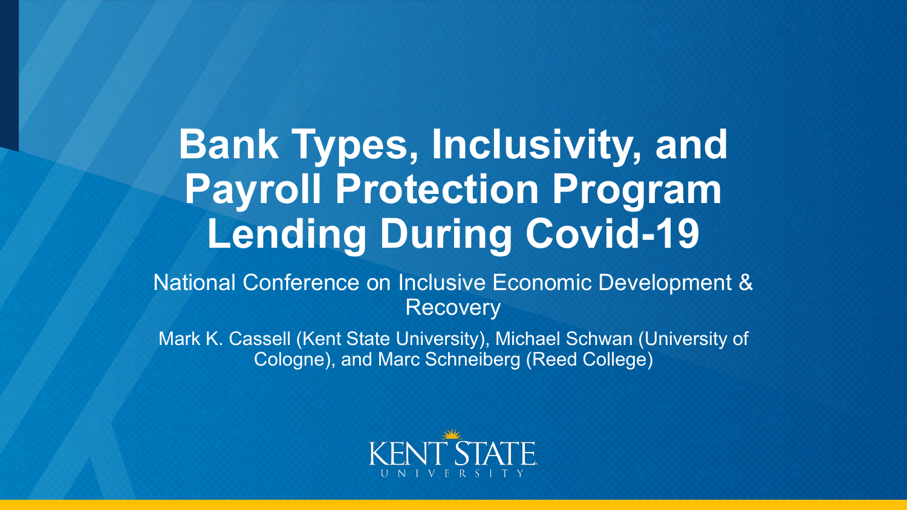# **Bank Types, Inclusivity, and Payroll Protection Program Lending During Covid-19**

National Conference on Inclusive Economic Development & **Recovery** 

Mark K. Cassell (Kent State University), Michael Schwan (University of Cologne), and Marc Schneiberg (Reed College)

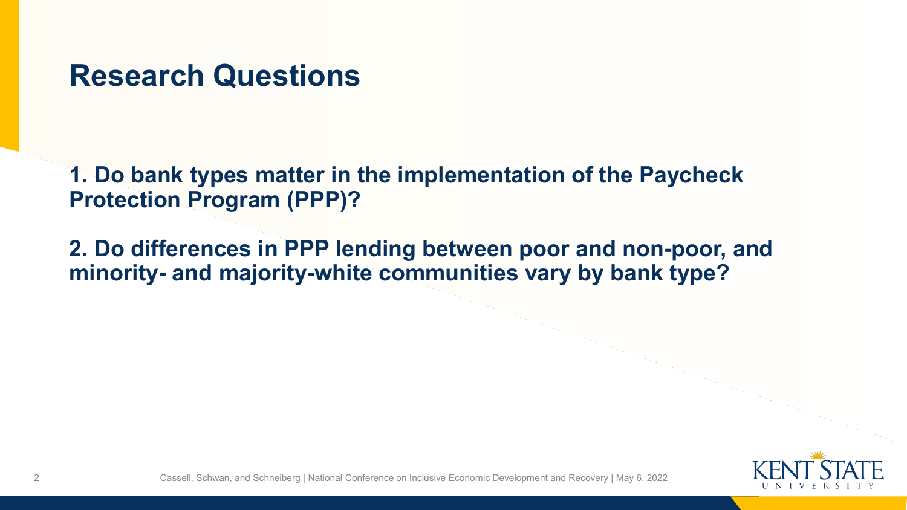### **Research Questions**

**1. Do bank types matter in the implementation of the Paycheck Protection Program (PPP)?**

**2. Do differences in PPP lending between poor and non-poor, and minority- and majority-white communities vary by bank type?**

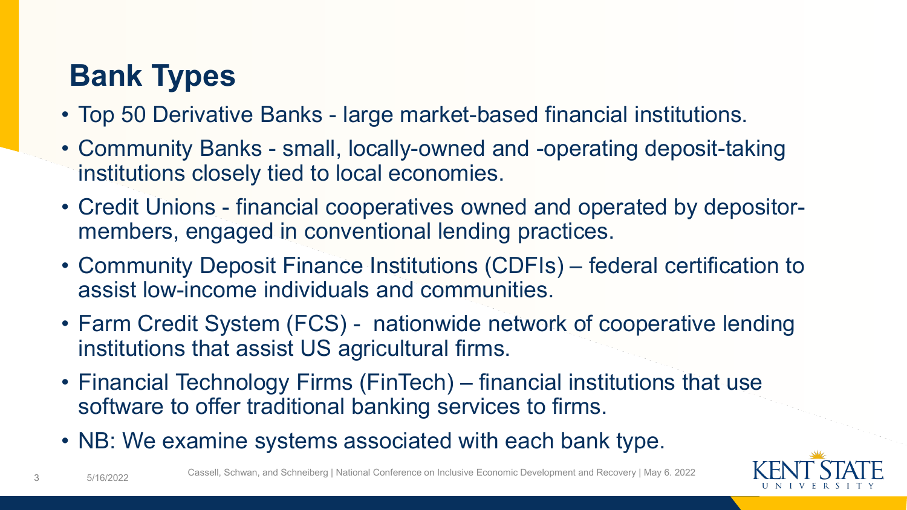# **Bank Types**

- Top 50 Derivative Banks large market-based financial institutions.
- Community Banks small, locally-owned and -operating deposit-taking institutions closely tied to local economies.
- Credit Unions financial cooperatives owned and operated by depositormembers, engaged in conventional lending practices.
- Community Deposit Finance Institutions (CDFIs) federal certification to assist low-income individuals and communities.
- Farm Credit System (FCS) nationwide network of cooperative lending institutions that assist US agricultural firms.
- Financial Technology Firms (FinTech) financial institutions that use software to offer traditional banking services to firms.
- NB: We examine systems associated with each bank type.



3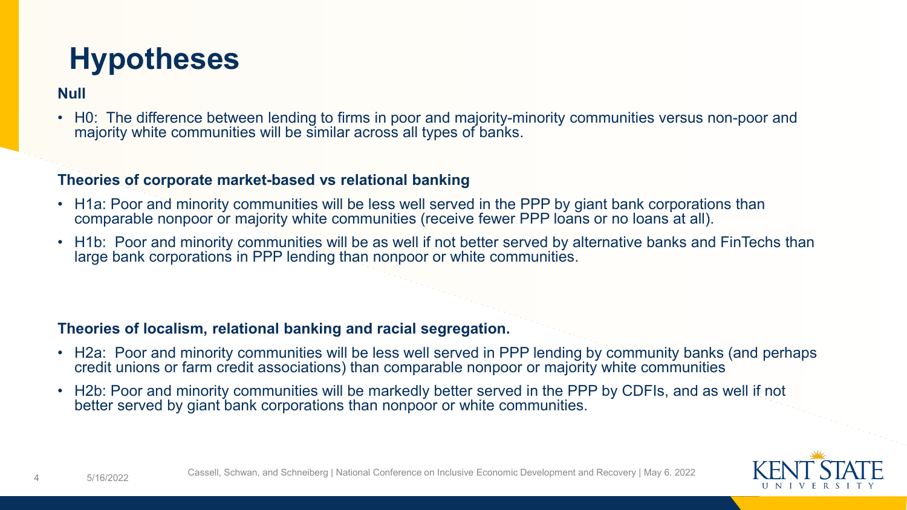## **Hypotheses**

### **Null**

• H0: The difference between lending to firms in poor and majority-minority communities versus non-poor and majority white communities will be similar across all types of banks.

#### **Theories of corporate market-based vs relational banking**

- H1a: Poor and minority communities will be less well served in the PPP by giant bank corporations than comparable nonpoor or majority white communities (receive fewer PPP loans or no loans at all).
- H1b: Poor and minority communities will be as well if not better served by alternative banks and FinTechs than large bank corporations in PPP lending than nonpoor or white communities.

#### **Theories of localism, relational banking and racial segregation.**

- H2a: Poor and minority communities will be less well served in PPP lending by community banks (and perhaps credit unions or farm credit associations) than comparable nonpoor or majority white communities
- H2b: Poor and minority communities will be markedly better served in the PPP by CDFIs, and as well if not better served by giant bank corporations than nonpoor or white communities.



4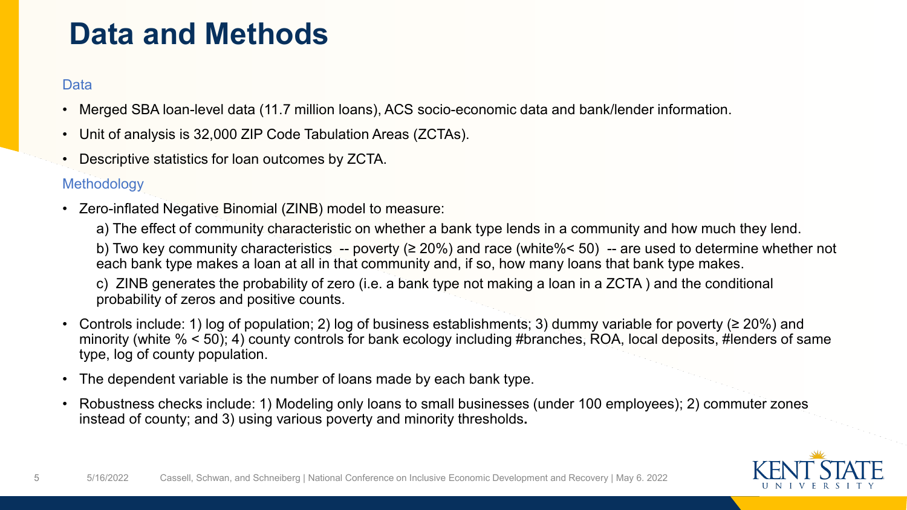### **Data and Methods**

#### **Data**

- Merged SBA loan-level data (11.7 million loans), ACS socio-economic data and bank/lender information.
- Unit of analysis is 32,000 ZIP Code Tabulation Areas (ZCTAs).
- Descriptive statistics for loan outcomes by ZCTA.

#### **Methodology**

• Zero-inflated Negative Binomial (ZINB) model to measure:

a) The effect of community characteristic on whether a bank type lends in a community and how much they lend.

b) Two key community characteristics -- poverty (≥ 20%) and race (white%< 50) -- are used to determine whether not each bank type makes a loan at all in that community and, if so, how many loans that bank type makes.

c) ZINB generates the probability of zero (i.e. a bank type not making a loan in a ZCTA ) and the conditional probability of zeros and positive counts.

- Controls include: 1) log of population; 2) log of business establishments; 3) dummy variable for poverty (≥ 20%) and minority (white % < 50); 4) county controls for bank ecology including #branches, ROA, local deposits, #lenders of same type, log of county population.
- The dependent variable is the number of loans made by each bank type.
- Robustness checks include: 1) Modeling only loans to small businesses (under 100 employees); 2) commuter zones instead of county; and 3) using various poverty and minority thresholds**.**

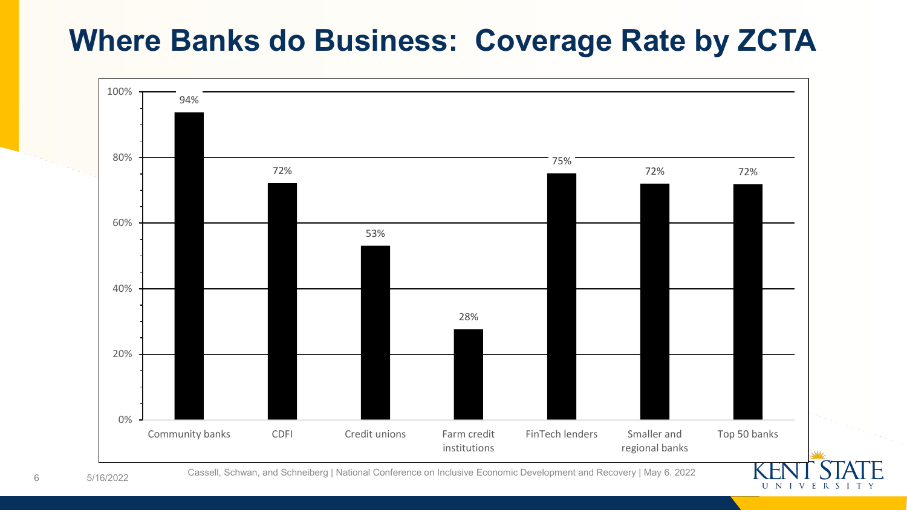### **Where Banks do Business: Coverage Rate by ZCTA**



5/16/2022 Cassell, Schwan, and Schneiberg | National Conference on Inclusive Economic Development and Recovery | May 6. 2022

UNIVERSIT'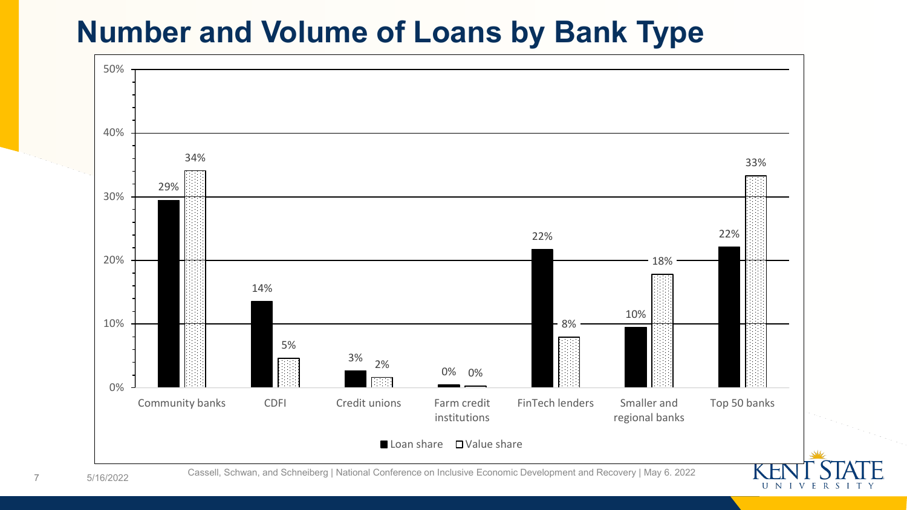### **Number and Volume of Loans by Bank Type**



UNIVERSIT

7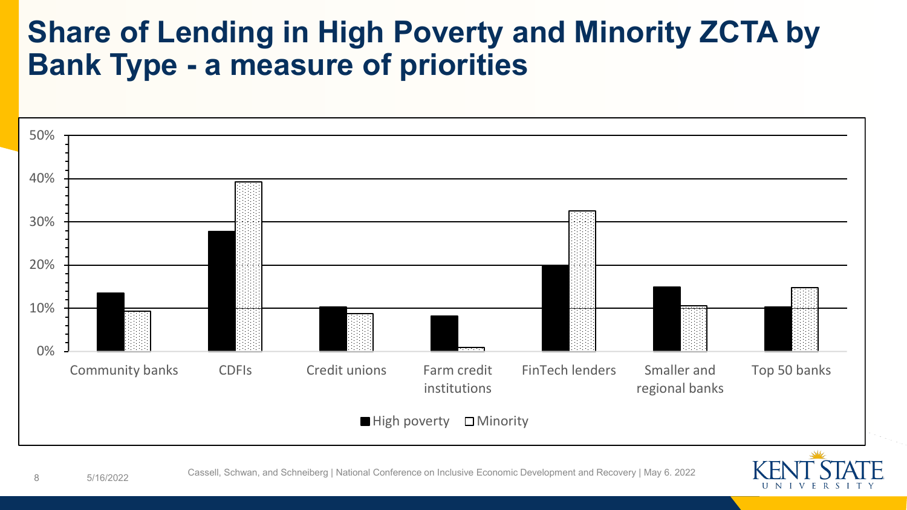### **Share of Lending in High Poverty and Minority ZCTA by Bank Type - a measure of priorities**



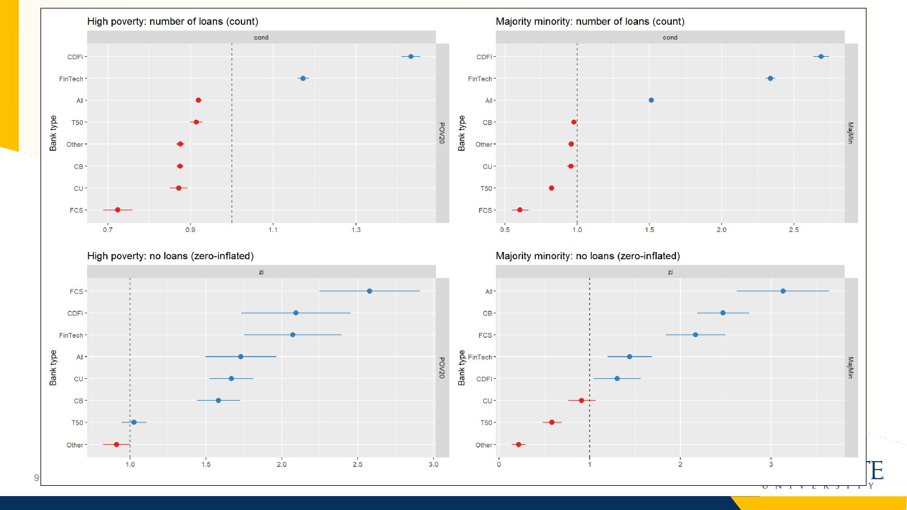



Majority minority: no loans (zero-inflated)

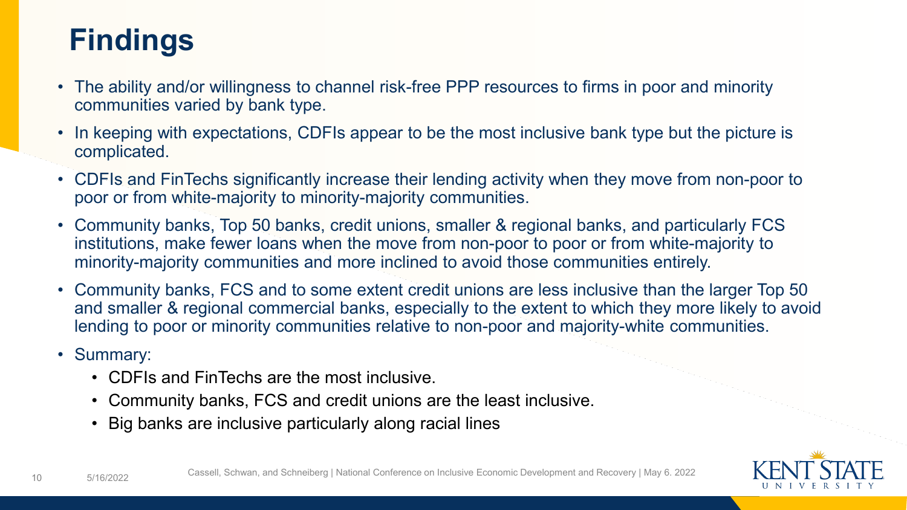# **Findings**

- The ability and/or willingness to channel risk-free PPP resources to firms in poor and minority communities varied by bank type.
- In keeping with expectations, CDFIs appear to be the most inclusive bank type but the picture is complicated.
- CDFIs and FinTechs significantly increase their lending activity when they move from non-poor to poor or from white-majority to minority-majority communities.
- Community banks, Top 50 banks, credit unions, smaller & regional banks, and particularly FCS institutions, make fewer loans when the move from non-poor to poor or from white-majority to minority-majority communities and more inclined to avoid those communities entirely.
- Community banks, FCS and to some extent credit unions are less inclusive than the larger Top 50 and smaller & regional commercial banks, especially to the extent to which they more likely to avoid lending to poor or minority communities relative to non-poor and majority-white communities.
- Summary:
	- CDFIs and FinTechs are the most inclusive.
	- Community banks, FCS and credit unions are the least inclusive.
	- Big banks are inclusive particularly along racial lines

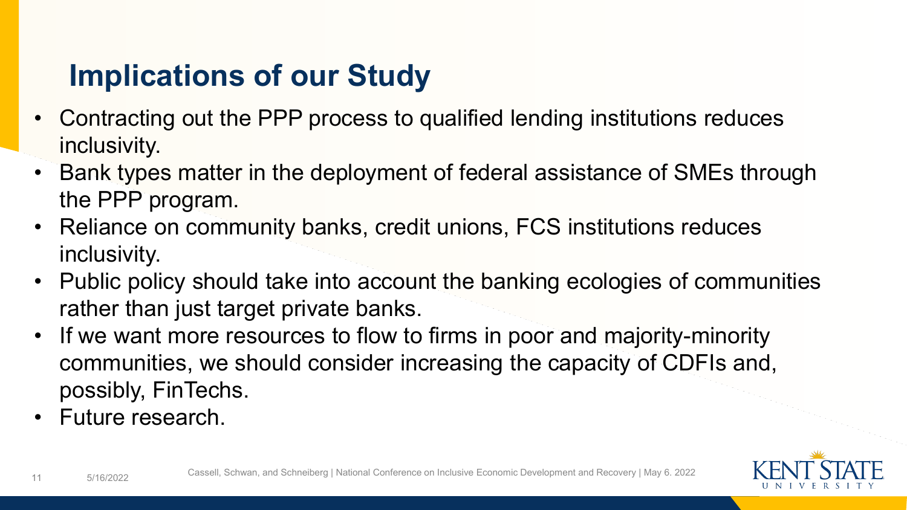# **Implications of our Study**

- Contracting out the PPP process to qualified lending institutions reduces inclusivity.
- Bank types matter in the deployment of federal assistance of SMEs through the PPP program.
- Reliance on community banks, credit unions, FCS institutions reduces inclusivity.
- Public policy should take into account the banking ecologies of communities rather than just target private banks.
- If we want more resources to flow to firms in poor and majority-minority communities, we should consider increasing the capacity of CDFIs and, possibly, FinTechs.
- Future research.